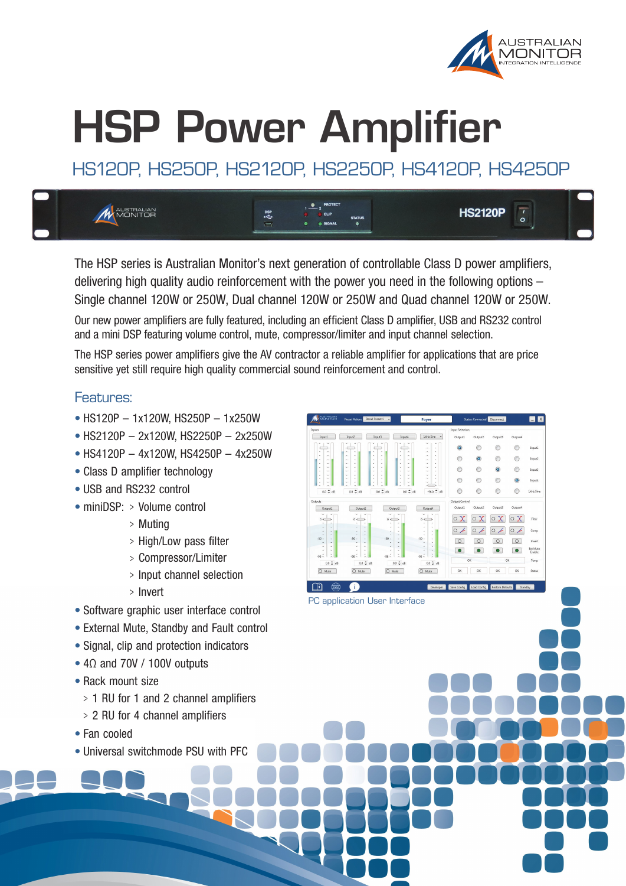

EM

Input3

Incus4

1kHz Sine

 $\odot$ 

 $\circ$   $\angle$ 

## **HSP Power Amplifier**

HS120P, HS250P, HS2120P, HS2250P, HS4120P, HS4250P



The HSP series is Australian Monitor's next generation of controllable Class D power amplifiers, delivering high quality audio reinforcement with the power you need in the following options – Single channel 120W or 250W, Dual channel 120W or 250W and Quad channel 120W or 250W.

Our new power amplifiers are fully featured, including an efficient Class D amplifier, USB and RS232 control and a mini DSP featuring volume control, mute, compressor/limiter and input channel selection.

The HSP series power amplifiers give the AV contractor a reliable amplifier for applications that are price sensitive yet still require high quality commercial sound reinforcement and control.

PC application User Interface

O Mute

 $\bullet$  $\overline{(\text{www})}$ 

0.0 0.18

 $\sim$   $\sim$ 

 $\overline{O}$  Mute

Œ.

1kHz Sine

 $22.5$ 

 $O$  Mute

 $0.0 \stackrel{A}{\sim}$ 

Output3

 $0.0 - 1.0$ 

 $O$  Mute

 $\bigcap$  $\bigcap_{i=1}^n$  $\bigcap$ Incura?

 $\bigcap$ 

 $\odot$ 

 $\odot$  $\odot$ 

 $\odot$ 

 $\sqrt{2}$  $\boxed{\circ}$  $\overline{\circ}$  $\sqrt{2}$ Ext Mute<br>Enable

 $\bullet$  $\bullet$  $\bullet$  $\bullet$ 

 $X \circ X$ 

 $040404$ 

 $\circ x$  $\circ x$ 

## Features:

- HS120P 1x120W, HS250P 1x250W
- HS2120P 2x120W, HS2250P 2x250W
- HS4120P 4x120W, HS4250P 4x250W
- Class D amplifier technology
- USB and RS232 control
- miniDSP: > Volume control
	- <sup>&</sup>gt; Muting
	- <sup>&</sup>gt; High/Low pass filter
	- <sup>&</sup>gt; Compressor/Limiter
	- <sup>&</sup>gt; Input channel selection
	- <sup>&</sup>gt; Invert
- Software graphic user interface control
- External Mute, Standby and Fault control
- Signal, clip and protection indicators
- $\bullet$  4 $\Omega$  and 70V / 100V outputs
- Rack mount size
	- <sup>&</sup>gt; 1 RU for 1 and 2 channel amplifiers
	- <sup>&</sup>gt; 2 RU for 4 channel amplifiers
- • Fan cooled
- Universal switchmode PSU with PFC